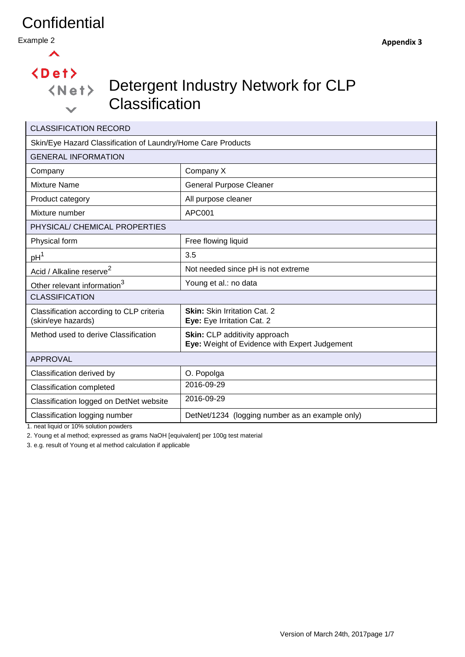Example 2

 $\blacktriangle$ 

# $\langle$ Det $\rangle$

 $\checkmark$ 

# Detergent Industry Network for CLP **Classification**

| <b>CLASSIFICATION RECORD</b>                                                     |                                                                                |  |  |  |  |  |
|----------------------------------------------------------------------------------|--------------------------------------------------------------------------------|--|--|--|--|--|
| Skin/Eye Hazard Classification of Laundry/Home Care Products                     |                                                                                |  |  |  |  |  |
| <b>GENERAL INFORMATION</b>                                                       |                                                                                |  |  |  |  |  |
| Company                                                                          | Company X                                                                      |  |  |  |  |  |
| <b>Mixture Name</b>                                                              | <b>General Purpose Cleaner</b>                                                 |  |  |  |  |  |
| Product category                                                                 | All purpose cleaner                                                            |  |  |  |  |  |
| Mixture number                                                                   | APC001                                                                         |  |  |  |  |  |
| PHYSICAL/ CHEMICAL PROPERTIES                                                    |                                                                                |  |  |  |  |  |
| Physical form<br>Free flowing liquid                                             |                                                                                |  |  |  |  |  |
| pH <sup>1</sup>                                                                  | 3.5                                                                            |  |  |  |  |  |
| Acid / Alkaline reserve <sup>2</sup>                                             | Not needed since pH is not extreme                                             |  |  |  |  |  |
| Young et al.: no data<br>Other relevant information <sup>3</sup>                 |                                                                                |  |  |  |  |  |
| <b>CLASSIFICATION</b>                                                            |                                                                                |  |  |  |  |  |
| Classification according to CLP criteria<br>(skin/eye hazards)                   | <b>Skin: Skin Irritation Cat. 2</b><br>Eye: Eye Irritation Cat. 2              |  |  |  |  |  |
| Method used to derive Classification                                             | Skin: CLP additivity approach<br>Eye: Weight of Evidence with Expert Judgement |  |  |  |  |  |
| <b>APPROVAL</b>                                                                  |                                                                                |  |  |  |  |  |
| Classification derived by                                                        | O. Popolga                                                                     |  |  |  |  |  |
| <b>Classification completed</b>                                                  | 2016-09-29                                                                     |  |  |  |  |  |
| 2016-09-29<br>Classification logged on DetNet website                            |                                                                                |  |  |  |  |  |
| Classification logging number<br>DetNet/1234 (logging number as an example only) |                                                                                |  |  |  |  |  |

1. neat liquid or 10% solution powders

2. Young et al method; expressed as grams NaOH [equivalent] per 100g test material

3. e.g. result of Young et al method calculation if applicable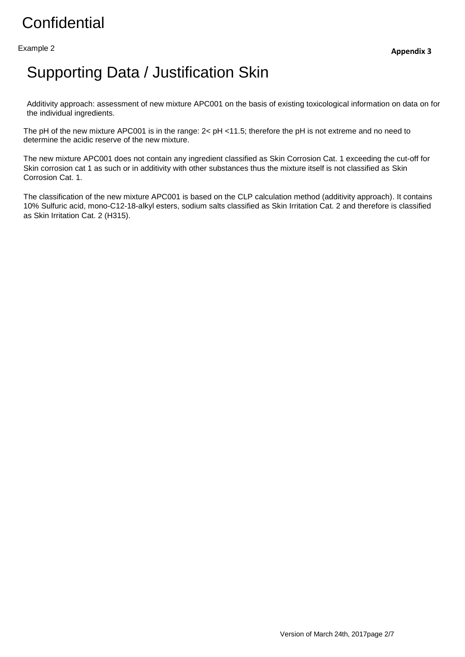Example 2

#### Supporting Data / Justification Skin

Additivity approach: assessment of new mixture APC001 on the basis of existing toxicological information on data on for the individual ingredients.

The pH of the new mixture APC001 is in the range:  $2 <$  pH <11.5; therefore the pH is not extreme and no need to determine the acidic reserve of the new mixture.

The new mixture APC001 does not contain any ingredient classified as Skin Corrosion Cat. 1 exceeding the cut-off for Skin corrosion cat 1 as such or in additivity with other substances thus the mixture itself is not classified as Skin Corrosion Cat. 1.

The classification of the new mixture APC001 is based on the CLP calculation method (additivity approach). It contains 10% Sulfuric acid, mono-C12-18-alkyl esters, sodium salts classified as Skin Irritation Cat. 2 and therefore is classified as Skin Irritation Cat. 2 (H315).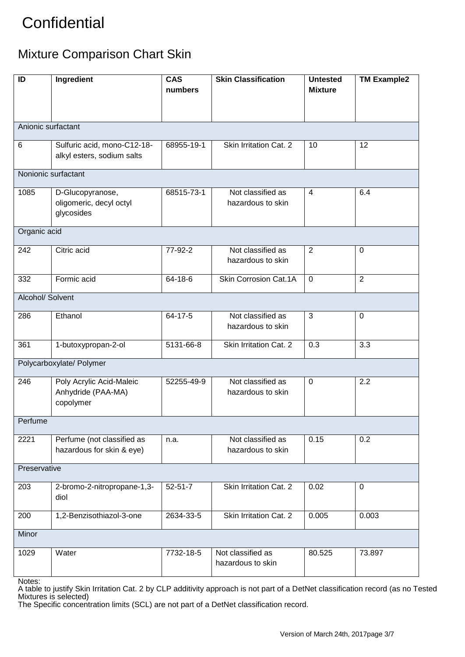#### Mixture Comparison Chart Skin

| ID                       | Ingredient                                                  | <b>CAS</b><br>numbers | <b>Skin Classification</b>                  | <b>Untested</b><br><b>Mixture</b> | <b>TM Example2</b> |  |  |  |
|--------------------------|-------------------------------------------------------------|-----------------------|---------------------------------------------|-----------------------------------|--------------------|--|--|--|
|                          |                                                             |                       |                                             |                                   |                    |  |  |  |
| Anionic surfactant       |                                                             |                       |                                             |                                   |                    |  |  |  |
| 6                        | Sulfuric acid, mono-C12-18-<br>alkyl esters, sodium salts   | 68955-19-1            | Skin Irritation Cat. 2                      | 10                                | 12                 |  |  |  |
| Nonionic surfactant      |                                                             |                       |                                             |                                   |                    |  |  |  |
| 1085                     | D-Glucopyranose,<br>oligomeric, decyl octyl<br>glycosides   | 68515-73-1            | Not classified as<br>hazardous to skin      | $\overline{4}$                    | 6.4                |  |  |  |
| Organic acid             |                                                             |                       |                                             |                                   |                    |  |  |  |
| 242                      | Citric acid                                                 | 77-92-2               | Not classified as<br>hazardous to skin      | $\overline{2}$                    | $\mathbf 0$        |  |  |  |
| 332                      | Formic acid                                                 | 64-18-6               | <b>Skin Corrosion Cat.1A</b>                | $\mathbf 0$                       | $\overline{2}$     |  |  |  |
| Alcohol/ Solvent         |                                                             |                       |                                             |                                   |                    |  |  |  |
| 286                      | Ethanol                                                     | 64-17-5               | Not classified as<br>3<br>hazardous to skin |                                   | $\mathbf 0$        |  |  |  |
| 361                      | 1-butoxypropan-2-ol                                         | 5131-66-8             | Skin Irritation Cat. 2                      | 0.3                               | 3.3                |  |  |  |
| Polycarboxylate/ Polymer |                                                             |                       |                                             |                                   |                    |  |  |  |
| 246                      | Poly Acrylic Acid-Maleic<br>Anhydride (PAA-MA)<br>copolymer | 52255-49-9            | Not classified as<br>hazardous to skin      | 0                                 | 2.2                |  |  |  |
| Perfume                  |                                                             |                       |                                             |                                   |                    |  |  |  |
| 2221                     | Perfume (not classified as<br>hazardous for skin & eye)     | n.a.                  | Not classified as<br>hazardous to skin      | 0.15                              | 0.2                |  |  |  |
| Preservative             |                                                             |                       |                                             |                                   |                    |  |  |  |
| 203                      | 2-bromo-2-nitropropane-1,3-<br>diol                         | $52 - 51 - 7$         | Skin Irritation Cat. 2                      | 0.02                              | $\pmb{0}$          |  |  |  |
| 200                      | 1,2-Benzisothiazol-3-one                                    | 2634-33-5             | Skin Irritation Cat. 2                      | 0.005                             | 0.003              |  |  |  |
| Minor                    |                                                             |                       |                                             |                                   |                    |  |  |  |
| 1029                     | Water                                                       | 7732-18-5             | Not classified as<br>hazardous to skin      | 80.525                            | 73.897             |  |  |  |

Notes:

A table to justify Skin Irritation Cat. 2 by CLP additivity approach is not part of a DetNet classification record (as no Tested Mixtures is selected) The Specific concentration limits (SCL) are not part of a DetNet classification record.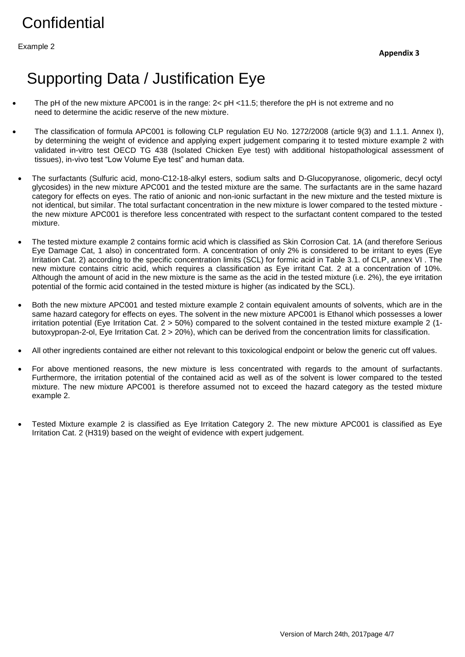Example 2

#### Supporting Data / Justification Eye

- The pH of the new mixture APC001 is in the range: 2< pH <11.5; therefore the pH is not extreme and no need to determine the acidic reserve of the new mixture.
- The classification of formula APC001 is following CLP regulation EU No. 1272/2008 (article 9(3) and 1.1.1. Annex I), by determining the weight of evidence and applying expert judgement comparing it to tested mixture example 2 with validated in-vitro test OECD TG 438 (Isolated Chicken Eye test) with additional histopathological assessment of tissues), in-vivo test "Low Volume Eye test" and human data.
- The surfactants (Sulfuric acid, mono-C12-18-alkyl esters, sodium salts and D-Glucopyranose, oligomeric, decyl octyl glycosides) in the new mixture APC001 and the tested mixture are the same. The surfactants are in the same hazard category for effects on eyes. The ratio of anionic and non-ionic surfactant in the new mixture and the tested mixture is not identical, but similar. The total surfactant concentration in the new mixture is lower compared to the tested mixture the new mixture APC001 is therefore less concentrated with respect to the surfactant content compared to the tested mixture.
- The tested mixture example 2 contains formic acid which is classified as Skin Corrosion Cat. 1A (and therefore Serious Eye Damage Cat, 1 also) in concentrated form. A concentration of only 2% is considered to be irritant to eyes (Eye Irritation Cat. 2) according to the specific concentration limits (SCL) for formic acid in Table 3.1. of CLP, annex VI . The new mixture contains citric acid, which requires a classification as Eye irritant Cat. 2 at a concentration of 10%. Although the amount of acid in the new mixture is the same as the acid in the tested mixture (i.e. 2%), the eye irritation potential of the formic acid contained in the tested mixture is higher (as indicated by the SCL).
- Both the new mixture APC001 and tested mixture example 2 contain equivalent amounts of solvents, which are in the same hazard category for effects on eyes. The solvent in the new mixture APC001 is Ethanol which possesses a lower irritation potential (Eye Irritation Cat. 2 > 50%) compared to the solvent contained in the tested mixture example 2 (1 butoxypropan-2-ol, Eye Irritation Cat. 2 > 20%), which can be derived from the concentration limits for classification.
- All other ingredients contained are either not relevant to this toxicological endpoint or below the generic cut off values.
- For above mentioned reasons, the new mixture is less concentrated with regards to the amount of surfactants. Furthermore, the irritation potential of the contained acid as well as of the solvent is lower compared to the tested mixture. The new mixture APC001 is therefore assumed not to exceed the hazard category as the tested mixture example 2.
- Tested Mixture example 2 is classified as Eye Irritation Category 2. The new mixture APC001 is classified as Eye Irritation Cat. 2 (H319) based on the weight of evidence with expert judgement.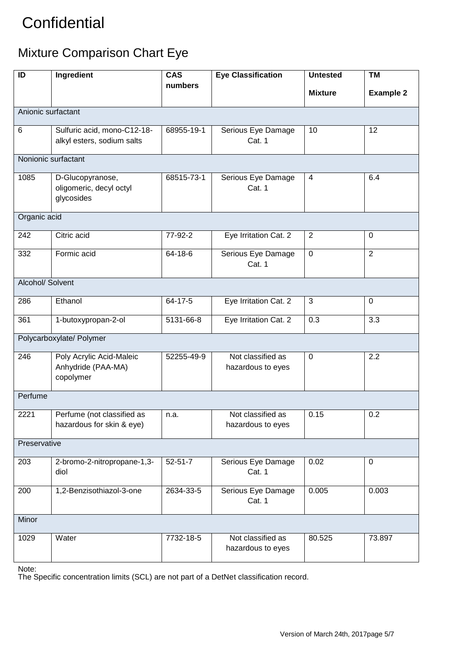#### Mixture Comparison Chart Eye

| $\overline{ID}$          | Ingredient                                                                        | $\overline{\text{CAS}}$ | <b>Eye Classification</b>              | <b>TM</b><br><b>Untested</b> |                  |  |  |  |  |
|--------------------------|-----------------------------------------------------------------------------------|-------------------------|----------------------------------------|------------------------------|------------------|--|--|--|--|
|                          |                                                                                   | numbers                 |                                        | <b>Mixture</b>               | <b>Example 2</b> |  |  |  |  |
| Anionic surfactant       |                                                                                   |                         |                                        |                              |                  |  |  |  |  |
| 6                        | Sulfuric acid, mono-C12-18-<br>68955-19-1<br>alkyl esters, sodium salts<br>Cat. 1 |                         | Serious Eye Damage                     | 10                           | 12               |  |  |  |  |
| Nonionic surfactant      |                                                                                   |                         |                                        |                              |                  |  |  |  |  |
| 1085                     | D-Glucopyranose,<br>oligomeric, decyl octyl<br>glycosides                         | 68515-73-1              | Serious Eye Damage<br>Cat. 1           | $\overline{4}$               | 6.4              |  |  |  |  |
| Organic acid             |                                                                                   |                         |                                        |                              |                  |  |  |  |  |
| 242                      | Citric acid                                                                       | 77-92-2                 | Eye Irritation Cat. 2                  | 2                            | 0                |  |  |  |  |
| 332                      | Formic acid                                                                       | 64-18-6                 | Serious Eye Damage<br>Cat. 1           | $\mathbf 0$                  | $\overline{2}$   |  |  |  |  |
| Alcohol/ Solvent         |                                                                                   |                         |                                        |                              |                  |  |  |  |  |
| 286                      | Ethanol                                                                           | 64-17-5                 | Eye Irritation Cat. 2                  | $\mathbf{3}$                 | $\mathbf 0$      |  |  |  |  |
| 361                      | 1-butoxypropan-2-ol                                                               | 5131-66-8               | Eye Irritation Cat. 2                  | 0.3                          | $\overline{3.3}$ |  |  |  |  |
| Polycarboxylate/ Polymer |                                                                                   |                         |                                        |                              |                  |  |  |  |  |
| 246                      | Poly Acrylic Acid-Maleic<br>Anhydride (PAA-MA)<br>copolymer                       | 52255-49-9              | Not classified as<br>hazardous to eyes | $\mathsf 0$                  | 2.2              |  |  |  |  |
| Perfume                  |                                                                                   |                         |                                        |                              |                  |  |  |  |  |
| 2221                     | Perfume (not classified as<br>hazardous for skin & eye)                           | n.a.                    | Not classified as<br>hazardous to eyes | 0.15                         | 0.2              |  |  |  |  |
| Preservative             |                                                                                   |                         |                                        |                              |                  |  |  |  |  |
| 203                      | 2-bromo-2-nitropropane-1,3-<br>diol                                               | $52 - 51 - 7$           | Serious Eye Damage<br>Cat. 1           | 0.02                         | $\boldsymbol{0}$ |  |  |  |  |
| 200                      | 1,2-Benzisothiazol-3-one                                                          | 2634-33-5               | Serious Eye Damage<br>Cat. 1           | 0.005                        | 0.003            |  |  |  |  |
| Minor                    |                                                                                   |                         |                                        |                              |                  |  |  |  |  |
| 1029                     | Water                                                                             | 7732-18-5               | Not classified as<br>hazardous to eyes | 80.525                       | 73.897           |  |  |  |  |

Note:

The Specific concentration limits (SCL) are not part of a DetNet classification record.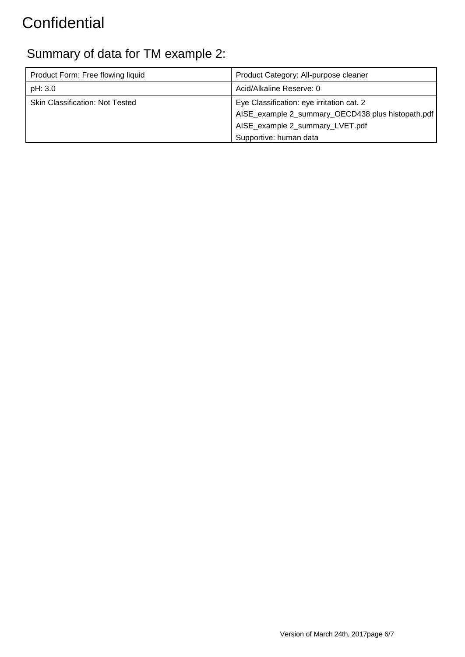#### Summary of data for TM example 2:

| Acid/Alkaline Reserve: 0                                                                                                                                    |
|-------------------------------------------------------------------------------------------------------------------------------------------------------------|
|                                                                                                                                                             |
| Eye Classification: eye irritation cat. 2<br>AISE_example 2_summary_OECD438 plus histopath.pdf<br>AISE_example 2_summary_LVET.pdf<br>Supportive: human data |
|                                                                                                                                                             |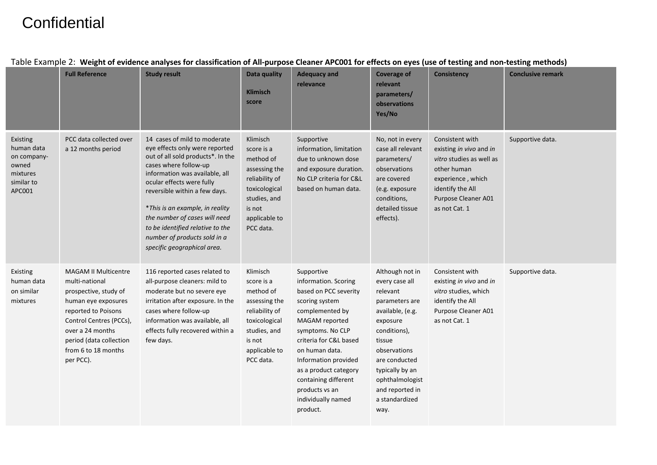|                                                                                    | <b>Full Reference</b>                                                                                                                                                                                                              | rabic Example 2. Treight of Criuchec analyses for classification of Air-parpose cicanci Ai Court for Cricets on Cycs (ase of testing and non-testing methods)<br><b>Study result</b>                                                                                                                                                                                                                | Data quality<br><b>Klimisch</b><br>score                                                                                                        | <b>Adequacy and</b><br>relevance                                                                                                                                                                                                                                                                                | <b>Coverage of</b><br>relevant<br>parameters/<br>observations<br>Yes/No                                                                                                                                                                       | <b>Consistency</b>                                                                                                                                                     | <b>Conclusive remark</b> |
|------------------------------------------------------------------------------------|------------------------------------------------------------------------------------------------------------------------------------------------------------------------------------------------------------------------------------|-----------------------------------------------------------------------------------------------------------------------------------------------------------------------------------------------------------------------------------------------------------------------------------------------------------------------------------------------------------------------------------------------------|-------------------------------------------------------------------------------------------------------------------------------------------------|-----------------------------------------------------------------------------------------------------------------------------------------------------------------------------------------------------------------------------------------------------------------------------------------------------------------|-----------------------------------------------------------------------------------------------------------------------------------------------------------------------------------------------------------------------------------------------|------------------------------------------------------------------------------------------------------------------------------------------------------------------------|--------------------------|
| Existing<br>human data<br>on company-<br>owned<br>mixtures<br>similar to<br>APC001 | PCC data collected over<br>a 12 months period                                                                                                                                                                                      | 14 cases of mild to moderate<br>eye effects only were reported<br>out of all sold products*. In the<br>cases where follow-up<br>information was available, all<br>ocular effects were fully<br>reversible within a few days.<br>*This is an example, in reality<br>the number of cases will need<br>to be identified relative to the<br>number of products sold in a<br>specific geographical area. | Klimisch<br>score is a<br>method of<br>assessing the<br>reliability of<br>toxicological<br>studies, and<br>is not<br>applicable to<br>PCC data. | Supportive<br>information, limitation<br>due to unknown dose<br>and exposure duration.<br>No CLP criteria for C&L<br>based on human data.                                                                                                                                                                       | No, not in every<br>case all relevant<br>parameters/<br>observations<br>are covered<br>(e.g. exposure<br>conditions,<br>detailed tissue<br>effects).                                                                                          | Consistent with<br>existing in vivo and in<br>vitro studies as well as<br>other human<br>experience, which<br>identify the All<br>Purpose Cleaner A01<br>as not Cat. 1 | Supportive data.         |
| Existing<br>human data<br>on similar<br>mixtures                                   | <b>MAGAM II Multicentre</b><br>multi-national<br>prospective, study of<br>human eye exposures<br>reported to Poisons<br>Control Centres (PCCs),<br>over a 24 months<br>period (data collection<br>from 6 to 18 months<br>per PCC). | 116 reported cases related to<br>all-purpose cleaners: mild to<br>moderate but no severe eye<br>irritation after exposure. In the<br>cases where follow-up<br>information was available, all<br>effects fully recovered within a<br>few days.                                                                                                                                                       | Klimisch<br>score is a<br>method of<br>assessing the<br>reliability of<br>toxicological<br>studies, and<br>is not<br>applicable to<br>PCC data. | Supportive<br>information. Scoring<br>based on PCC severity<br>scoring system<br>complemented by<br>MAGAM reported<br>symptoms. No CLP<br>criteria for C&L based<br>on human data.<br>Information provided<br>as a product category<br>containing different<br>products vs an<br>individually named<br>product. | Although not in<br>every case all<br>relevant<br>parameters are<br>available, (e.g.<br>exposure<br>conditions),<br>tissue<br>observations<br>are conducted<br>typically by an<br>ophthalmologist<br>and reported in<br>a standardized<br>way. | Consistent with<br>existing in vivo and in<br>vitro studies, which<br>identify the All<br>Purpose Cleaner A01<br>as not Cat. 1                                         | Supportive data.         |

#### Table Example 2: **Weight of evidence analyses for classification of All-purpose Cleaner APC001 for effects on eyes (use of testing and non-testing methods)**